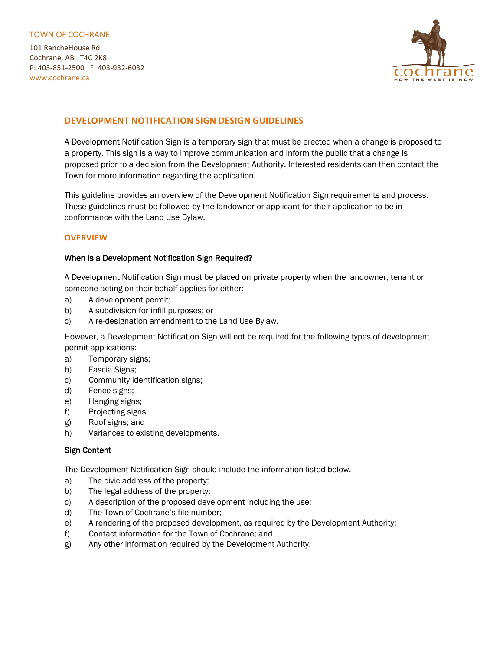#### TOWN OF COCHRANE

101 RancheHouse Rd. Cochrane, AB T4C 2K8 P: 403-851-2500 F: 403-932-6032 www.cochrane.ca



# **DEVELOPMENT NOTIFICATION SIGN DESIGN GUIDELINES**

A Development Notification Sign is a temporary sign that must be erected when a change is proposed to a property. This sign is a way to improve communication and inform the public that a change is proposed prior to a decision from the Development Authority. Interested residents can then contact the Town for more information regarding the application.

This guideline provides an overview of the Development Notification Sign requirements and process. These guidelines must be followed by the landowner or applicant for their application to be in conformance with the Land Use Bylaw.

# **OVERVIEW**

# When is a Development Notification Sign Required?

A Development Notification Sign must be placed on private property when the landowner, tenant or someone acting on their behalf applies for either:

- a) A development permit;
- b) A subdivision for infill purposes; or
- c) A re-designation amendment to the Land Use Bylaw.

However, a Development Notification Sign will not be required for the following types of development permit applications:

- a) Temporary signs;
- b) Fascia Signs;
- c) Community identification signs;
- d) Fence signs;
- e) Hanging signs;
- f) Projecting signs;
- g) Roof signs; and
- h) Variances to existing developments.

#### Sign Content

The Development Notification Sign should include the information listed below.

- a) The civic address of the property;
- b) The legal address of the property;
- c) A description of the proposed development including the use;
- d) The Town of Cochrane's file number;
- e) A rendering of the proposed development, as required by the Development Authority;
- f) Contact information for the Town of Cochrane; and
- g) Any other information required by the Development Authority.